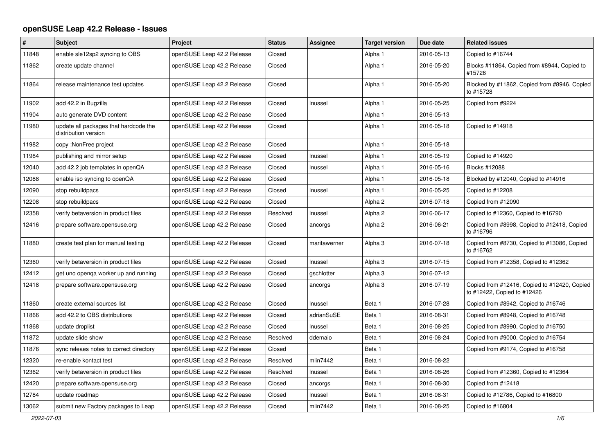## **openSUSE Leap 42.2 Release - Issues**

| $\vert$ # | <b>Subject</b>                                                | Project                    | <b>Status</b> | Assignee     | <b>Target version</b> | Due date   | <b>Related issues</b>                                                       |
|-----------|---------------------------------------------------------------|----------------------------|---------------|--------------|-----------------------|------------|-----------------------------------------------------------------------------|
| 11848     | enable sle12sp2 syncing to OBS                                | openSUSE Leap 42.2 Release | Closed        |              | Alpha 1               | 2016-05-13 | Copied to #16744                                                            |
| 11862     | create update channel                                         | openSUSE Leap 42.2 Release | Closed        |              | Alpha 1               | 2016-05-20 | Blocks #11864, Copied from #8944, Copied to<br>#15726                       |
| 11864     | release maintenance test updates                              | openSUSE Leap 42.2 Release | Closed        |              | Alpha 1               | 2016-05-20 | Blocked by #11862, Copied from #8946, Copied<br>to #15728                   |
| 11902     | add 42.2 in Bugzilla                                          | openSUSE Leap 42.2 Release | Closed        | Inussel      | Alpha 1               | 2016-05-25 | Copied from #9224                                                           |
| 11904     | auto generate DVD content                                     | openSUSE Leap 42.2 Release | Closed        |              | Alpha 1               | 2016-05-13 |                                                                             |
| 11980     | update all packages that hardcode the<br>distribution version | openSUSE Leap 42.2 Release | Closed        |              | Alpha 1               | 2016-05-18 | Copied to #14918                                                            |
| 11982     | copy: NonFree project                                         | openSUSE Leap 42.2 Release | Closed        |              | Alpha 1               | 2016-05-18 |                                                                             |
| 11984     | publishing and mirror setup                                   | openSUSE Leap 42.2 Release | Closed        | Inussel      | Alpha 1               | 2016-05-19 | Copied to #14920                                                            |
| 12040     | add 42.2 job templates in openQA                              | openSUSE Leap 42.2 Release | Closed        | Inussel      | Alpha 1               | 2016-05-16 | Blocks #12088                                                               |
| 12088     | enable iso syncing to openQA                                  | openSUSE Leap 42.2 Release | Closed        |              | Alpha 1               | 2016-05-18 | Blocked by #12040, Copied to #14916                                         |
| 12090     | stop rebuildpacs                                              | openSUSE Leap 42.2 Release | Closed        | Inussel      | Alpha 1               | 2016-05-25 | Copied to #12208                                                            |
| 12208     | stop rebuildpacs                                              | openSUSE Leap 42.2 Release | Closed        |              | Alpha 2               | 2016-07-18 | Copied from #12090                                                          |
| 12358     | verify betaversion in product files                           | openSUSE Leap 42.2 Release | Resolved      | Inussel      | Alpha <sub>2</sub>    | 2016-06-17 | Copied to #12360, Copied to #16790                                          |
| 12416     | prepare software.opensuse.org                                 | openSUSE Leap 42.2 Release | Closed        | ancorgs      | Alpha <sub>2</sub>    | 2016-06-21 | Copied from #8998, Copied to #12418, Copied<br>to #16796                    |
| 11880     | create test plan for manual testing                           | openSUSE Leap 42.2 Release | Closed        | maritawerner | Alpha 3               | 2016-07-18 | Copied from #8730, Copied to #13086, Copied<br>to #16762                    |
| 12360     | verify betaversion in product files                           | openSUSE Leap 42.2 Release | Closed        | Inussel      | Alpha 3               | 2016-07-15 | Copied from #12358, Copied to #12362                                        |
| 12412     | get uno openga worker up and running                          | openSUSE Leap 42.2 Release | Closed        | gschlotter   | Alpha 3               | 2016-07-12 |                                                                             |
| 12418     | prepare software.opensuse.org                                 | openSUSE Leap 42.2 Release | Closed        | ancorgs      | Alpha 3               | 2016-07-19 | Copied from #12416, Copied to #12420, Copied<br>to #12422, Copied to #12426 |
| 11860     | create external sources list                                  | openSUSE Leap 42.2 Release | Closed        | Inussel      | Beta 1                | 2016-07-28 | Copied from #8942, Copied to #16746                                         |
| 11866     | add 42.2 to OBS distributions                                 | openSUSE Leap 42.2 Release | Closed        | adrianSuSE   | Beta 1                | 2016-08-31 | Copied from #8948, Copied to #16748                                         |
| 11868     | update droplist                                               | openSUSE Leap 42.2 Release | Closed        | Inussel      | Beta 1                | 2016-08-25 | Copied from #8990, Copied to #16750                                         |
| 11872     | update slide show                                             | openSUSE Leap 42.2 Release | Resolved      | ddemaio      | Beta 1                | 2016-08-24 | Copied from #9000, Copied to #16754                                         |
| 11876     | sync releaes notes to correct directory                       | openSUSE Leap 42.2 Release | Closed        |              | Beta 1                |            | Copied from #9174, Copied to #16758                                         |
| 12320     | re-enable kontact test                                        | openSUSE Leap 42.2 Release | Resolved      | mlin7442     | Beta 1                | 2016-08-22 |                                                                             |
| 12362     | verify betaversion in product files                           | openSUSE Leap 42.2 Release | Resolved      | Inussel      | Beta 1                | 2016-08-26 | Copied from #12360, Copied to #12364                                        |
| 12420     | prepare software.opensuse.org                                 | openSUSE Leap 42.2 Release | Closed        | ancorgs      | Beta 1                | 2016-08-30 | Copied from #12418                                                          |
| 12784     | update roadmap                                                | openSUSE Leap 42.2 Release | Closed        | Inussel      | Beta 1                | 2016-08-31 | Copied to #12786, Copied to #16800                                          |
| 13062     | submit new Factory packages to Leap                           | openSUSE Leap 42.2 Release | Closed        | mlin7442     | Beta 1                | 2016-08-25 | Copied to #16804                                                            |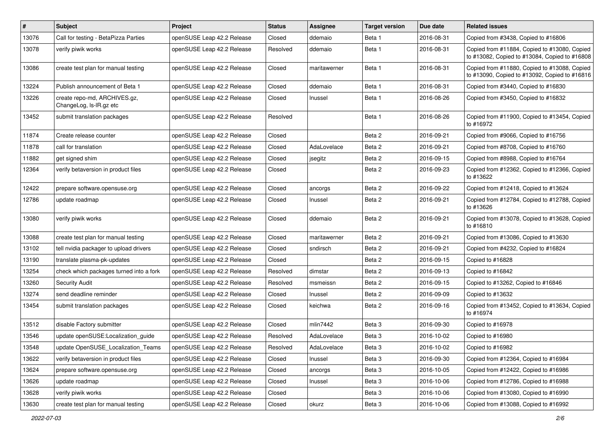| #     | Subject                                                 | Project                    | <b>Status</b> | <b>Assignee</b> | <b>Target version</b> | Due date   | <b>Related issues</b>                                                                         |
|-------|---------------------------------------------------------|----------------------------|---------------|-----------------|-----------------------|------------|-----------------------------------------------------------------------------------------------|
| 13076 | Call for testing - BetaPizza Parties                    | openSUSE Leap 42.2 Release | Closed        | ddemaio         | Beta 1                | 2016-08-31 | Copied from #3438, Copied to #16806                                                           |
| 13078 | verify piwik works                                      | openSUSE Leap 42.2 Release | Resolved      | ddemaio         | Beta 1                | 2016-08-31 | Copied from #11884, Copied to #13080, Copied<br>to #13082, Copied to #13084, Copied to #16808 |
| 13086 | create test plan for manual testing                     | openSUSE Leap 42.2 Release | Closed        | maritawerner    | Beta 1                | 2016-08-31 | Copied from #11880, Copied to #13088, Copied<br>to #13090, Copied to #13092, Copied to #16816 |
| 13224 | Publish announcement of Beta 1                          | openSUSE Leap 42.2 Release | Closed        | ddemaio         | Beta 1                | 2016-08-31 | Copied from #3440, Copied to #16830                                                           |
| 13226 | create repo-md, ARCHIVES.gz,<br>ChangeLog, Is-IR.gz etc | openSUSE Leap 42.2 Release | Closed        | Inussel         | Beta 1                | 2016-08-26 | Copied from #3450, Copied to #16832                                                           |
| 13452 | submit translation packages                             | openSUSE Leap 42.2 Release | Resolved      |                 | Beta 1                | 2016-08-26 | Copied from #11900, Copied to #13454, Copied<br>to #16972                                     |
| 11874 | Create release counter                                  | openSUSE Leap 42.2 Release | Closed        |                 | Beta 2                | 2016-09-21 | Copied from #9066, Copied to #16756                                                           |
| 11878 | call for translation                                    | openSUSE Leap 42.2 Release | Closed        | AdaLovelace     | Beta 2                | 2016-09-21 | Copied from #8708, Copied to #16760                                                           |
| 11882 | get signed shim                                         | openSUSE Leap 42.2 Release | Closed        | jsegitz         | Beta 2                | 2016-09-15 | Copied from #8988, Copied to #16764                                                           |
| 12364 | verify betaversion in product files                     | openSUSE Leap 42.2 Release | Closed        |                 | Beta 2                | 2016-09-23 | Copied from #12362, Copied to #12366, Copied<br>to #13622                                     |
| 12422 | prepare software.opensuse.org                           | openSUSE Leap 42.2 Release | Closed        | ancorgs         | Beta 2                | 2016-09-22 | Copied from #12418, Copied to #13624                                                          |
| 12786 | update roadmap                                          | openSUSE Leap 42.2 Release | Closed        | Inussel         | Beta 2                | 2016-09-21 | Copied from #12784, Copied to #12788, Copied<br>to #13626                                     |
| 13080 | verify piwik works                                      | openSUSE Leap 42.2 Release | Closed        | ddemaio         | Beta 2                | 2016-09-21 | Copied from #13078, Copied to #13628, Copied<br>to #16810                                     |
| 13088 | create test plan for manual testing                     | openSUSE Leap 42.2 Release | Closed        | maritawerner    | Beta 2                | 2016-09-21 | Copied from #13086, Copied to #13630                                                          |
| 13102 | tell nvidia packager to upload drivers                  | openSUSE Leap 42.2 Release | Closed        | sndirsch        | Beta 2                | 2016-09-21 | Copied from #4232, Copied to #16824                                                           |
| 13190 | translate plasma-pk-updates                             | openSUSE Leap 42.2 Release | Closed        |                 | Beta 2                | 2016-09-15 | Copied to #16828                                                                              |
| 13254 | check which packages turned into a fork                 | openSUSE Leap 42.2 Release | Resolved      | dimstar         | Beta 2                | 2016-09-13 | Copied to #16842                                                                              |
| 13260 | <b>Security Audit</b>                                   | openSUSE Leap 42.2 Release | Resolved      | msmeissn        | Beta 2                | 2016-09-15 | Copied to #13262, Copied to #16846                                                            |
| 13274 | send deadline reminder                                  | openSUSE Leap 42.2 Release | Closed        | Inussel         | Beta 2                | 2016-09-09 | Copied to #13632                                                                              |
| 13454 | submit translation packages                             | openSUSE Leap 42.2 Release | Closed        | keichwa         | Beta 2                | 2016-09-16 | Copied from #13452, Copied to #13634, Copied<br>to #16974                                     |
| 13512 | disable Factory submitter                               | openSUSE Leap 42.2 Release | Closed        | mlin7442        | Beta <sub>3</sub>     | 2016-09-30 | Copied to #16978                                                                              |
| 13546 | update openSUSE:Localization_guide                      | openSUSE Leap 42.2 Release | Resolved      | AdaLovelace     | Beta 3                | 2016-10-02 | Copied to #16980                                                                              |
| 13548 | update OpenSUSE_Localization_Teams                      | openSUSE Leap 42.2 Release | Resolved      | AdaLovelace     | Beta 3                | 2016-10-02 | Copied to #16982                                                                              |
| 13622 | verify betaversion in product files                     | openSUSE Leap 42.2 Release | Closed        | Inussel         | Beta 3                | 2016-09-30 | Copied from #12364, Copied to #16984                                                          |
| 13624 | prepare software.opensuse.org                           | openSUSE Leap 42.2 Release | Closed        | ancorgs         | Beta 3                | 2016-10-05 | Copied from #12422, Copied to #16986                                                          |
| 13626 | update roadmap                                          | openSUSE Leap 42.2 Release | Closed        | Inussel         | Beta 3                | 2016-10-06 | Copied from #12786, Copied to #16988                                                          |
| 13628 | verify piwik works                                      | openSUSE Leap 42.2 Release | Closed        |                 | Beta 3                | 2016-10-06 | Copied from #13080, Copied to #16990                                                          |
| 13630 | create test plan for manual testing                     | openSUSE Leap 42.2 Release | Closed        | okurz           | Beta 3                | 2016-10-06 | Copied from #13088, Copied to #16992                                                          |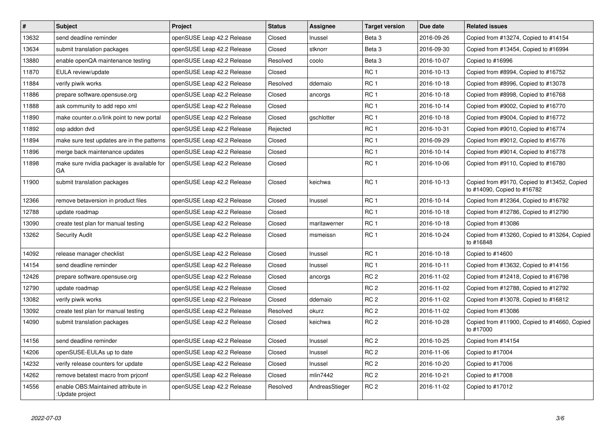| $\vert$ # | <b>Subject</b>                                        | Project                    | <b>Status</b> | <b>Assignee</b> | <b>Target version</b> | Due date   | <b>Related issues</b>                                                      |
|-----------|-------------------------------------------------------|----------------------------|---------------|-----------------|-----------------------|------------|----------------------------------------------------------------------------|
| 13632     | send deadline reminder                                | openSUSE Leap 42.2 Release | Closed        | Inussel         | Beta <sub>3</sub>     | 2016-09-26 | Copied from #13274, Copied to #14154                                       |
| 13634     | submit translation packages                           | openSUSE Leap 42.2 Release | Closed        | stknorr         | Beta <sub>3</sub>     | 2016-09-30 | Copied from #13454, Copied to #16994                                       |
| 13880     | enable openQA maintenance testing                     | openSUSE Leap 42.2 Release | Resolved      | coolo           | Beta <sub>3</sub>     | 2016-10-07 | Copied to #16996                                                           |
| 11870     | EULA review/update                                    | openSUSE Leap 42.2 Release | Closed        |                 | RC <sub>1</sub>       | 2016-10-13 | Copied from #8994, Copied to #16752                                        |
| 11884     | verify piwik works                                    | openSUSE Leap 42.2 Release | Resolved      | ddemaio         | RC <sub>1</sub>       | 2016-10-18 | Copied from #8996, Copied to #13078                                        |
| 11886     | prepare software.opensuse.org                         | openSUSE Leap 42.2 Release | Closed        | ancorgs         | RC <sub>1</sub>       | 2016-10-18 | Copied from #8998, Copied to #16768                                        |
| 11888     | ask community to add repo xml                         | openSUSE Leap 42.2 Release | Closed        |                 | RC <sub>1</sub>       | 2016-10-14 | Copied from #9002, Copied to #16770                                        |
| 11890     | make counter.o.o/link point to new portal             | openSUSE Leap 42.2 Release | Closed        | gschlotter      | RC <sub>1</sub>       | 2016-10-18 | Copied from #9004, Copied to #16772                                        |
| 11892     | osp addon dvd                                         | openSUSE Leap 42.2 Release | Rejected      |                 | RC <sub>1</sub>       | 2016-10-31 | Copied from #9010, Copied to #16774                                        |
| 11894     | make sure test updates are in the patterns            | openSUSE Leap 42.2 Release | Closed        |                 | RC <sub>1</sub>       | 2016-09-29 | Copied from #9012, Copied to #16776                                        |
| 11896     | merge back maintenance updates                        | openSUSE Leap 42.2 Release | Closed        |                 | RC <sub>1</sub>       | 2016-10-14 | Copied from #9014, Copied to #16778                                        |
| 11898     | make sure nvidia packager is available for<br>GA      | openSUSE Leap 42.2 Release | Closed        |                 | RC <sub>1</sub>       | 2016-10-06 | Copied from #9110, Copied to #16780                                        |
| 11900     | submit translation packages                           | openSUSE Leap 42.2 Release | Closed        | keichwa         | RC <sub>1</sub>       | 2016-10-13 | Copied from #9170, Copied to #13452, Copied<br>to #14090, Copied to #16782 |
| 12366     | remove betaversion in product files                   | openSUSE Leap 42.2 Release | Closed        | Inussel         | RC <sub>1</sub>       | 2016-10-14 | Copied from #12364, Copied to #16792                                       |
| 12788     | update roadmap                                        | openSUSE Leap 42.2 Release | Closed        |                 | RC <sub>1</sub>       | 2016-10-18 | Copied from #12786, Copied to #12790                                       |
| 13090     | create test plan for manual testing                   | openSUSE Leap 42.2 Release | Closed        | maritawerner    | RC <sub>1</sub>       | 2016-10-18 | Copied from #13086                                                         |
| 13262     | Security Audit                                        | openSUSE Leap 42.2 Release | Closed        | msmeissn        | RC <sub>1</sub>       | 2016-10-24 | Copied from #13260, Copied to #13264, Copied<br>to #16848                  |
| 14092     | release manager checklist                             | openSUSE Leap 42.2 Release | Closed        | Inussel         | RC <sub>1</sub>       | 2016-10-18 | Copied to #14600                                                           |
| 14154     | send deadline reminder                                | openSUSE Leap 42.2 Release | Closed        | Inussel         | RC <sub>1</sub>       | 2016-10-11 | Copied from #13632, Copied to #14156                                       |
| 12426     | prepare software.opensuse.org                         | openSUSE Leap 42.2 Release | Closed        | ancorgs         | RC <sub>2</sub>       | 2016-11-02 | Copied from #12418, Copied to #16798                                       |
| 12790     | update roadmap                                        | openSUSE Leap 42.2 Release | Closed        |                 | RC <sub>2</sub>       | 2016-11-02 | Copied from #12788, Copied to #12792                                       |
| 13082     | verify piwik works                                    | openSUSE Leap 42.2 Release | Closed        | ddemaio         | RC <sub>2</sub>       | 2016-11-02 | Copied from #13078, Copied to #16812                                       |
| 13092     | create test plan for manual testing                   | openSUSE Leap 42.2 Release | Resolved      | okurz           | RC <sub>2</sub>       | 2016-11-02 | Copied from #13086                                                         |
| 14090     | submit translation packages                           | openSUSE Leap 42.2 Release | Closed        | keichwa         | RC <sub>2</sub>       | 2016-10-28 | Copied from #11900, Copied to #14660, Copied<br>to #17000                  |
| 14156     | send deadline reminder                                | openSUSE Leap 42.2 Release | Closed        | Inussel         | RC <sub>2</sub>       | 2016-10-25 | Copied from #14154                                                         |
| 14206     | openSUSE-EULAs up to date                             | openSUSE Leap 42.2 Release | Closed        | Inussel         | RC <sub>2</sub>       | 2016-11-06 | Copied to #17004                                                           |
| 14232     | verify release counters for update                    | openSUSE Leap 42.2 Release | Closed        | Inussel         | RC <sub>2</sub>       | 2016-10-20 | Copied to #17006                                                           |
| 14262     | remove betatest macro from priconf                    | openSUSE Leap 42.2 Release | Closed        | mlin7442        | RC <sub>2</sub>       | 2016-10-21 | Copied to #17008                                                           |
| 14556     | enable OBS:Maintained attribute in<br>:Update project | openSUSE Leap 42.2 Release | Resolved      | AndreasStieger  | RC <sub>2</sub>       | 2016-11-02 | Copied to #17012                                                           |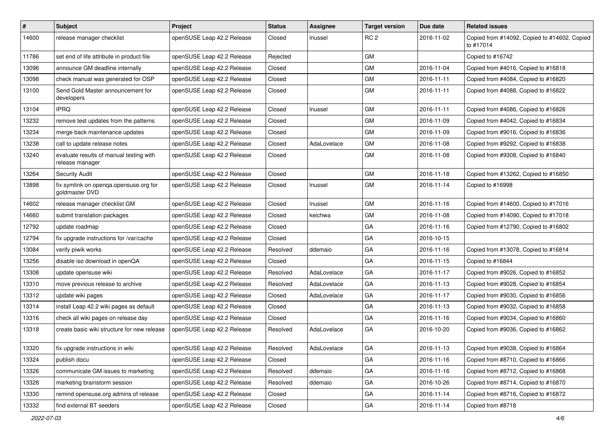| $\vert$ # | Subject                                                    | <b>Project</b>             | <b>Status</b> | Assignee    | <b>Target version</b> | Due date   | <b>Related issues</b>                                     |
|-----------|------------------------------------------------------------|----------------------------|---------------|-------------|-----------------------|------------|-----------------------------------------------------------|
| 14600     | release manager checklist                                  | openSUSE Leap 42.2 Release | Closed        | Inussel     | RC <sub>2</sub>       | 2016-11-02 | Copied from #14092, Copied to #14602, Copied<br>to #17014 |
| 11786     | set end of life attribute in product file                  | openSUSE Leap 42.2 Release | Rejected      |             | <b>GM</b>             |            | Copied to #16742                                          |
| 13096     | announce GM deadline internally                            | openSUSE Leap 42.2 Release | Closed        |             | GM                    | 2016-11-04 | Copied from #4016, Copied to #16818                       |
| 13098     | check manual was generated for OSP                         | openSUSE Leap 42.2 Release | Closed        |             | <b>GM</b>             | 2016-11-11 | Copied from #4084, Copied to #16820                       |
| 13100     | Send Gold Master announcement for<br>developers            | openSUSE Leap 42.2 Release | Closed        |             | GM                    | 2016-11-11 | Copied from #4088, Copied to #16822                       |
| 13104     | <b>IPRQ</b>                                                | openSUSE Leap 42.2 Release | Closed        | Inussel     | GM                    | 2016-11-11 | Copied from #4086, Copied to #16826                       |
| 13232     | remove test updates from the patterns                      | openSUSE Leap 42.2 Release | Closed        |             | <b>GM</b>             | 2016-11-09 | Copied from #4042, Copied to #16834                       |
| 13234     | merge back maintenance updates                             | openSUSE Leap 42.2 Release | Closed        |             | GM                    | 2016-11-09 | Copied from #9016, Copied to #16836                       |
| 13238     | call to update release notes                               | openSUSE Leap 42.2 Release | Closed        | AdaLovelace | GM                    | 2016-11-08 | Copied from #9292, Copied to #16838                       |
| 13240     | evaluate results of manual testing with<br>release manager | openSUSE Leap 42.2 Release | Closed        |             | GM                    | 2016-11-08 | Copied from #9308, Copied to #16840                       |
| 13264     | <b>Security Audit</b>                                      | openSUSE Leap 42.2 Release | Closed        |             | GM                    | 2016-11-18 | Copied from #13262, Copied to #16850                      |
| 13898     | fix symlink on openqa.opensuse.org for<br>goldmaster DVD   | openSUSE Leap 42.2 Release | Closed        | Inussel     | GM                    | 2016-11-14 | Copied to #16998                                          |
| 14602     | release manager checklist GM                               | openSUSE Leap 42.2 Release | Closed        | Inussel     | <b>GM</b>             | 2016-11-16 | Copied from #14600, Copied to #17016                      |
| 14660     | submit translation packages                                | openSUSE Leap 42.2 Release | Closed        | keichwa     | GM                    | 2016-11-08 | Copied from #14090, Copied to #17018                      |
| 12792     | update roadmap                                             | openSUSE Leap 42.2 Release | Closed        |             | GA                    | 2016-11-16 | Copied from #12790, Copied to #16802                      |
| 12794     | fix upgrade instructions for /var/cache                    | openSUSE Leap 42.2 Release | Closed        |             | GA                    | 2016-10-15 |                                                           |
| 13084     | verify piwik works                                         | openSUSE Leap 42.2 Release | Resolved      | ddemaio     | GA                    | 2016-11-16 | Copied from #13078, Copied to #16814                      |
| 13256     | disable iso download in openQA                             | openSUSE Leap 42.2 Release | Closed        |             | GA                    | 2016-11-15 | Copied to #16844                                          |
| 13308     | update opensuse wiki                                       | openSUSE Leap 42.2 Release | Resolved      | AdaLovelace | GA                    | 2016-11-17 | Copied from #9026, Copied to #16852                       |
| 13310     | move previous release to archive                           | openSUSE Leap 42.2 Release | Resolved      | AdaLovelace | GA                    | 2016-11-13 | Copied from #9028, Copied to #16854                       |
| 13312     | update wiki pages                                          | openSUSE Leap 42.2 Release | Closed        | AdaLovelace | GA                    | 2016-11-17 | Copied from #9030, Copied to #16856                       |
| 13314     | install Leap 42.2 wiki pages as default                    | openSUSE Leap 42.2 Release | Closed        |             | GA                    | 2016-11-13 | Copied from #9032, Copied to #16858                       |
| 13316     | check all wiki pages on release day                        | openSUSE Leap 42.2 Release | Closed        |             | GA                    | 2016-11-16 | Copied from #9034, Copied to #16860                       |
| 13318     | create basic wiki structure for new release                | openSUSE Leap 42.2 Release | Resolved      | AdaLovelace | GA                    | 2016-10-20 | Copied from #9036, Copied to #16862                       |
| 13320     | fix upgrade instructions in wiki                           | openSUSE Leap 42.2 Release | Resolved      | AdaLovelace | GA                    | 2016-11-13 | Copied from #9038, Copied to #16864                       |
| 13324     | publish docu                                               | openSUSE Leap 42.2 Release | Closed        |             | GA                    | 2016-11-16 | Copied from #8710, Copied to #16866                       |
| 13326     | communicate GM issues to marketing                         | openSUSE Leap 42.2 Release | Resolved      | ddemaio     | GA                    | 2016-11-16 | Copied from #8712, Copied to #16868                       |
| 13328     | marketing brainstorm session                               | openSUSE Leap 42.2 Release | Resolved      | ddemaio     | GA                    | 2016-10-26 | Copied from #8714, Copied to #16870                       |
| 13330     | remind opensuse.org admins of release                      | openSUSE Leap 42.2 Release | Closed        |             | GA                    | 2016-11-14 | Copied from #8716, Copied to #16872                       |
| 13332     | find external BT seeders                                   | openSUSE Leap 42.2 Release | Closed        |             | GA                    | 2016-11-14 | Copied from #8718                                         |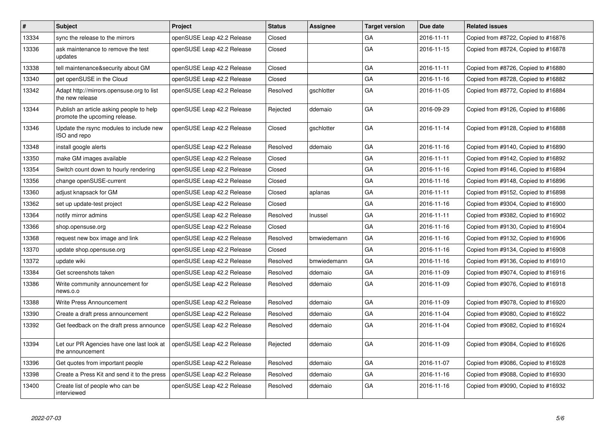| $\pmb{\#}$ | <b>Subject</b>                                                            | <b>Project</b>             | <b>Status</b> | Assignee    | <b>Target version</b> | Due date   | <b>Related issues</b>               |
|------------|---------------------------------------------------------------------------|----------------------------|---------------|-------------|-----------------------|------------|-------------------------------------|
| 13334      | sync the release to the mirrors                                           | openSUSE Leap 42.2 Release | Closed        |             | GА                    | 2016-11-11 | Copied from #8722, Copied to #16876 |
| 13336      | ask maintenance to remove the test<br>updates                             | openSUSE Leap 42.2 Release | Closed        |             | GA                    | 2016-11-15 | Copied from #8724, Copied to #16878 |
| 13338      | tell maintenance&security about GM                                        | openSUSE Leap 42.2 Release | Closed        |             | GА                    | 2016-11-11 | Copied from #8726, Copied to #16880 |
| 13340      | get openSUSE in the Cloud                                                 | openSUSE Leap 42.2 Release | Closed        |             | GA                    | 2016-11-16 | Copied from #8728, Copied to #16882 |
| 13342      | Adapt http://mirrors.opensuse.org to list<br>the new release              | openSUSE Leap 42.2 Release | Resolved      | gschlotter  | GA                    | 2016-11-05 | Copied from #8772, Copied to #16884 |
| 13344      | Publish an article asking people to help<br>promote the upcoming release. | openSUSE Leap 42.2 Release | Rejected      | ddemaio     | GA                    | 2016-09-29 | Copied from #9126, Copied to #16886 |
| 13346      | Update the rsync modules to include new<br>ISO and repo                   | openSUSE Leap 42.2 Release | Closed        | gschlotter  | GA                    | 2016-11-14 | Copied from #9128, Copied to #16888 |
| 13348      | install google alerts                                                     | openSUSE Leap 42.2 Release | Resolved      | ddemaio     | GA                    | 2016-11-16 | Copied from #9140, Copied to #16890 |
| 13350      | make GM images available                                                  | openSUSE Leap 42.2 Release | Closed        |             | GA                    | 2016-11-11 | Copied from #9142, Copied to #16892 |
| 13354      | Switch count down to hourly rendering                                     | openSUSE Leap 42.2 Release | Closed        |             | GA                    | 2016-11-16 | Copied from #9146, Copied to #16894 |
| 13356      | change openSUSE-current                                                   | openSUSE Leap 42.2 Release | Closed        |             | GA                    | 2016-11-16 | Copied from #9148, Copied to #16896 |
| 13360      | adjust knapsack for GM                                                    | openSUSE Leap 42.2 Release | Closed        | aplanas     | GA                    | 2016-11-11 | Copied from #9152, Copied to #16898 |
| 13362      | set up update-test project                                                | openSUSE Leap 42.2 Release | Closed        |             | GA                    | 2016-11-16 | Copied from #9304, Copied to #16900 |
| 13364      | notify mirror admins                                                      | openSUSE Leap 42.2 Release | Resolved      | Inussel     | GA                    | 2016-11-11 | Copied from #9382, Copied to #16902 |
| 13366      | shop.opensuse.org                                                         | openSUSE Leap 42.2 Release | Closed        |             | GA                    | 2016-11-16 | Copied from #9130, Copied to #16904 |
| 13368      | request new box image and link                                            | openSUSE Leap 42.2 Release | Resolved      | bmwiedemann | GA                    | 2016-11-16 | Copied from #9132, Copied to #16906 |
| 13370      | update shop.opensuse.org                                                  | openSUSE Leap 42.2 Release | Closed        |             | GA                    | 2016-11-16 | Copied from #9134, Copied to #16908 |
| 13372      | update wiki                                                               | openSUSE Leap 42.2 Release | Resolved      | bmwiedemann | GA                    | 2016-11-16 | Copied from #9136, Copied to #16910 |
| 13384      | Get screenshots taken                                                     | openSUSE Leap 42.2 Release | Resolved      | ddemaio     | GA                    | 2016-11-09 | Copied from #9074, Copied to #16916 |
| 13386      | Write community announcement for<br>news.o.o                              | openSUSE Leap 42.2 Release | Resolved      | ddemaio     | GA                    | 2016-11-09 | Copied from #9076, Copied to #16918 |
| 13388      | Write Press Announcement                                                  | openSUSE Leap 42.2 Release | Resolved      | ddemaio     | GA                    | 2016-11-09 | Copied from #9078, Copied to #16920 |
| 13390      | Create a draft press announcement                                         | openSUSE Leap 42.2 Release | Resolved      | ddemaio     | GA                    | 2016-11-04 | Copied from #9080, Copied to #16922 |
| 13392      | Get feedback on the draft press announce                                  | openSUSE Leap 42.2 Release | Resolved      | ddemaio     | GA                    | 2016-11-04 | Copied from #9082, Copied to #16924 |
| 13394      | Let our PR Agencies have one last look at<br>the announcement             | openSUSE Leap 42.2 Release | Rejected      | ddemaio     | GA                    | 2016-11-09 | Copied from #9084, Copied to #16926 |
| 13396      | Get quotes from important people                                          | openSUSE Leap 42.2 Release | Resolved      | ddemaio     | GA                    | 2016-11-07 | Copied from #9086, Copied to #16928 |
| 13398      | Create a Press Kit and send it to the press                               | openSUSE Leap 42.2 Release | Resolved      | ddemaio     | GA                    | 2016-11-16 | Copied from #9088, Copied to #16930 |
| 13400      | Create list of people who can be<br>interviewed                           | openSUSE Leap 42.2 Release | Resolved      | ddemaio     | GA                    | 2016-11-16 | Copied from #9090, Copied to #16932 |